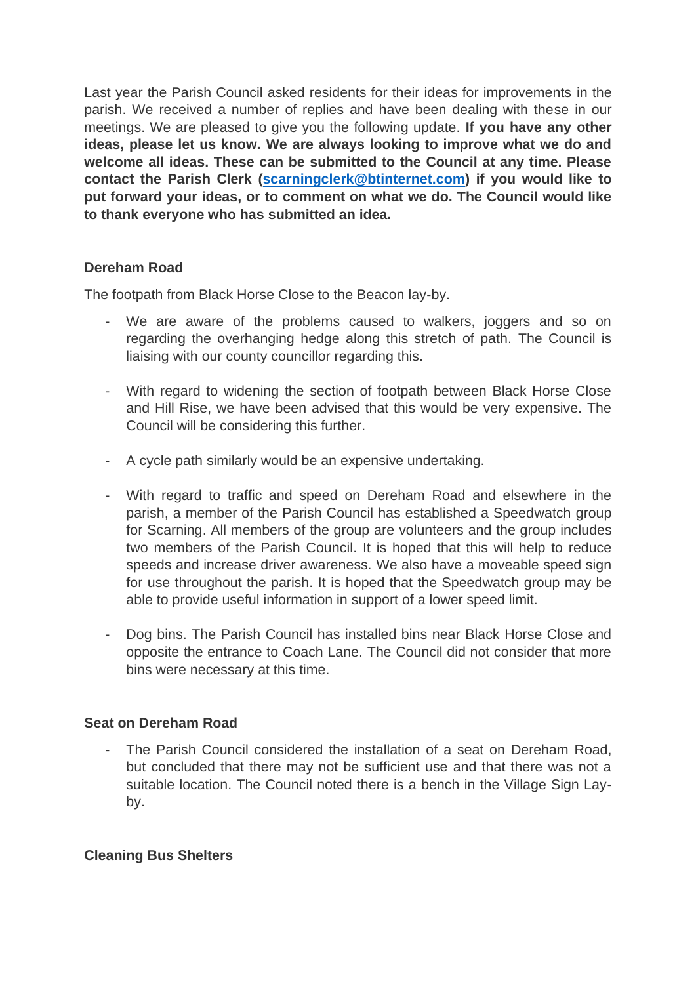Last year the Parish Council asked residents for their ideas for improvements in the parish. We received a number of replies and have been dealing with these in our meetings. We are pleased to give you the following update. **If you have any other ideas, please let us know. We are always looking to improve what we do and welcome all ideas. These can be submitted to the Council at any time. Please contact the Parish Clerk [\(scarningclerk@btinternet.com\)](mailto:scarningclerk@btinternet.com) if you would like to put forward your ideas, or to comment on what we do. The Council would like to thank everyone who has submitted an idea.** 

# **Dereham Road**

The footpath from Black Horse Close to the Beacon lay-by.

- We are aware of the problems caused to walkers, joggers and so on regarding the overhanging hedge along this stretch of path. The Council is liaising with our county councillor regarding this.
- With regard to widening the section of footpath between Black Horse Close and Hill Rise, we have been advised that this would be very expensive. The Council will be considering this further.
- A cycle path similarly would be an expensive undertaking.
- With regard to traffic and speed on Dereham Road and elsewhere in the parish, a member of the Parish Council has established a Speedwatch group for Scarning. All members of the group are volunteers and the group includes two members of the Parish Council. It is hoped that this will help to reduce speeds and increase driver awareness. We also have a moveable speed sign for use throughout the parish. It is hoped that the Speedwatch group may be able to provide useful information in support of a lower speed limit.
- Dog bins. The Parish Council has installed bins near Black Horse Close and opposite the entrance to Coach Lane. The Council did not consider that more bins were necessary at this time.

## **Seat on Dereham Road**

The Parish Council considered the installation of a seat on Dereham Road, but concluded that there may not be sufficient use and that there was not a suitable location. The Council noted there is a bench in the Village Sign Layby.

## **Cleaning Bus Shelters**